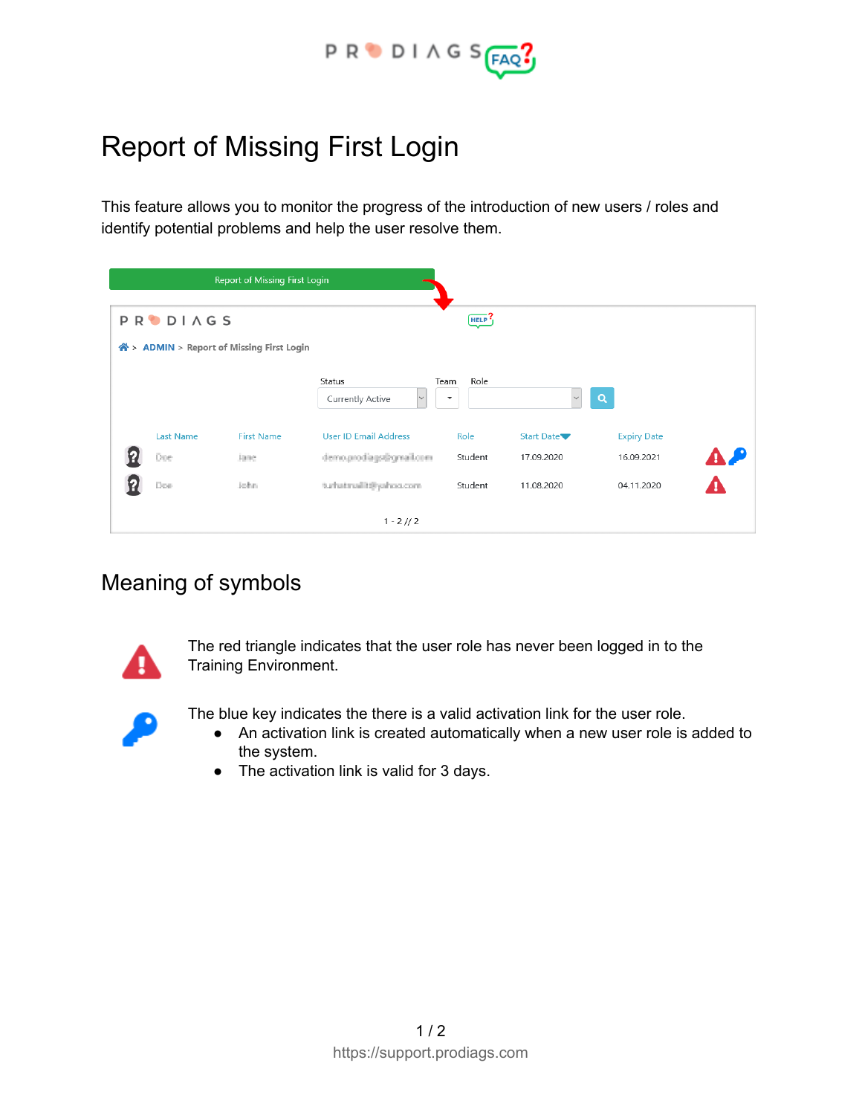

# Report of Missing First Login

This feature allows you to monitor the progress of the introduction of new users / roles and identify potential problems and help the user resolve them.

| Report of Missing First Login |                 |                                           |                                |                          |                   |                    |           |
|-------------------------------|-----------------|-------------------------------------------|--------------------------------|--------------------------|-------------------|--------------------|-----------|
|                               | <b>PRODIAGS</b> |                                           |                                | HELP <sup>?</sup>        |                   |                    |           |
|                               |                 | N > ADMIN > Report of Missing First Login | Status                         | Role<br>Team             |                   |                    |           |
|                               |                 |                                           | $\backsim$<br>Currently Active | $\overline{\phantom{a}}$ |                   | $\mathbf Q$        |           |
|                               | Last Name       | <b>First Name</b>                         | <b>User ID Email Address</b>   | Role                     | <b>Start Date</b> | <b>Expiry Date</b> |           |
|                               | Doe             | Jane.                                     | demogradiags@gmail.com         | Student                  | 17.09.2020        | 16.09.2021         | <b>AP</b> |
| Ч                             | Doe             | John.                                     | turbatmailit@yahoo.com         | Student                  | 11.08.2020        | 04.11.2020         | A         |
| $1 - 2 // 2$                  |                 |                                           |                                |                          |                   |                    |           |

## Meaning of symbols



The red triangle indicates that the user role has never been logged in to the Training Environment.



- The blue key indicates the there is a valid activation link for the user role.
	- An activation link is created automatically when a new user role is added to the system.
	- The activation link is valid for 3 days.